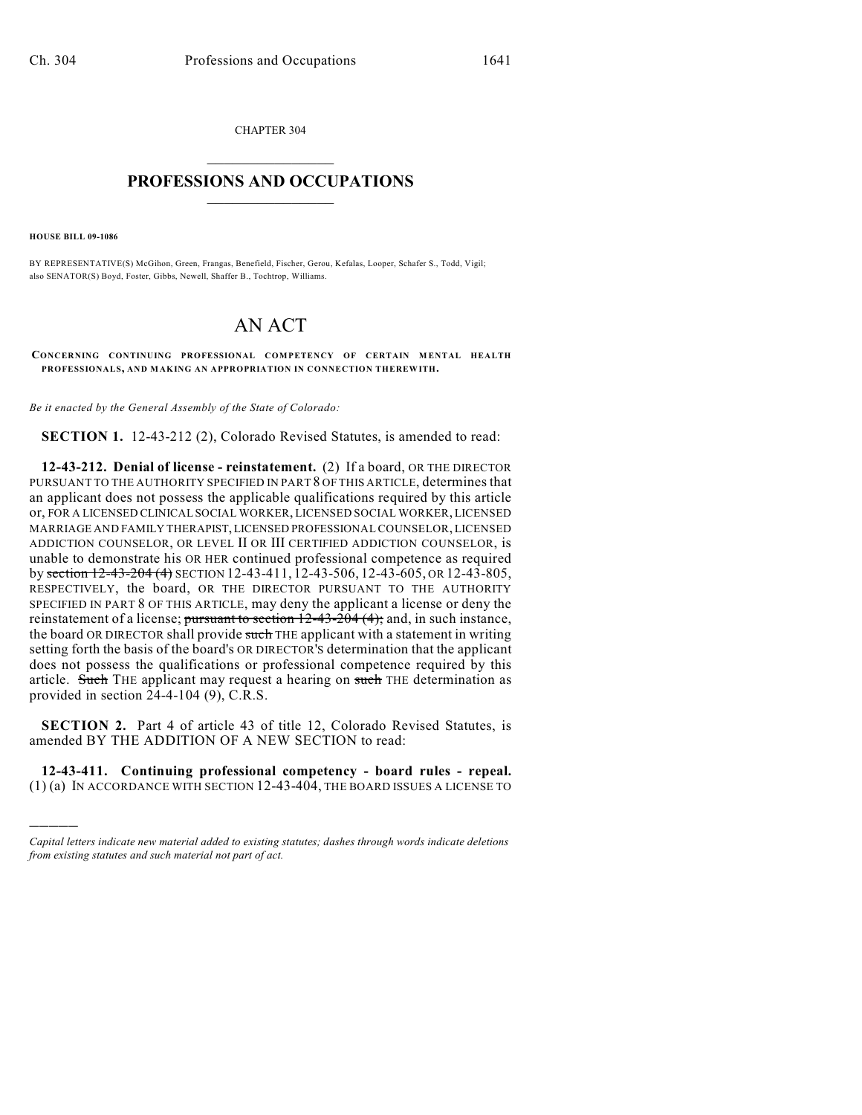CHAPTER 304  $\overline{\phantom{a}}$  . The set of the set of the set of the set of the set of the set of the set of the set of the set of the set of the set of the set of the set of the set of the set of the set of the set of the set of the set o

## **PROFESSIONS AND OCCUPATIONS**  $\frac{1}{2}$  ,  $\frac{1}{2}$  ,  $\frac{1}{2}$  ,  $\frac{1}{2}$  ,  $\frac{1}{2}$  ,  $\frac{1}{2}$

**HOUSE BILL 09-1086**

)))))

BY REPRESENTATIVE(S) McGihon, Green, Frangas, Benefield, Fischer, Gerou, Kefalas, Looper, Schafer S., Todd, Vigil; also SENATOR(S) Boyd, Foster, Gibbs, Newell, Shaffer B., Tochtrop, Williams.

## AN ACT

**CONCERNING CONTINUING PROFESSIONAL COMPETENCY OF CERTAIN MENTAL HEALTH PROFESSIONALS, AND MAKING AN APPROPRIATION IN CONNECTION THEREWITH.**

*Be it enacted by the General Assembly of the State of Colorado:*

**SECTION 1.** 12-43-212 (2), Colorado Revised Statutes, is amended to read:

**12-43-212. Denial of license - reinstatement.** (2) If a board, OR THE DIRECTOR PURSUANT TO THE AUTHORITY SPECIFIED IN PART 8 OF THIS ARTICLE, determines that an applicant does not possess the applicable qualifications required by this article or, FOR A LICENSED CLINICAL SOCIAL WORKER, LICENSED SOCIAL WORKER, LICENSED MARRIAGE AND FAMILY THERAPIST, LICENSED PROFESSIONAL COUNSELOR, LICENSED ADDICTION COUNSELOR, OR LEVEL II OR III CERTIFIED ADDICTION COUNSELOR, is unable to demonstrate his OR HER continued professional competence as required by section 12-43-204 (4) SECTION 12-43-411, 12-43-506, 12-43-605, OR 12-43-805, RESPECTIVELY, the board, OR THE DIRECTOR PURSUANT TO THE AUTHORITY SPECIFIED IN PART 8 OF THIS ARTICLE, may deny the applicant a license or deny the reinstatement of a license; pursuant to section 12-43-204 (4); and, in such instance, the board OR DIRECTOR shall provide such THE applicant with a statement in writing setting forth the basis of the board's OR DIRECTOR'S determination that the applicant does not possess the qualifications or professional competence required by this article. Such THE applicant may request a hearing on such THE determination as provided in section 24-4-104 (9), C.R.S.

**SECTION 2.** Part 4 of article 43 of title 12, Colorado Revised Statutes, is amended BY THE ADDITION OF A NEW SECTION to read:

**12-43-411. Continuing professional competency - board rules - repeal.** (1) (a) IN ACCORDANCE WITH SECTION 12-43-404, THE BOARD ISSUES A LICENSE TO

*Capital letters indicate new material added to existing statutes; dashes through words indicate deletions from existing statutes and such material not part of act.*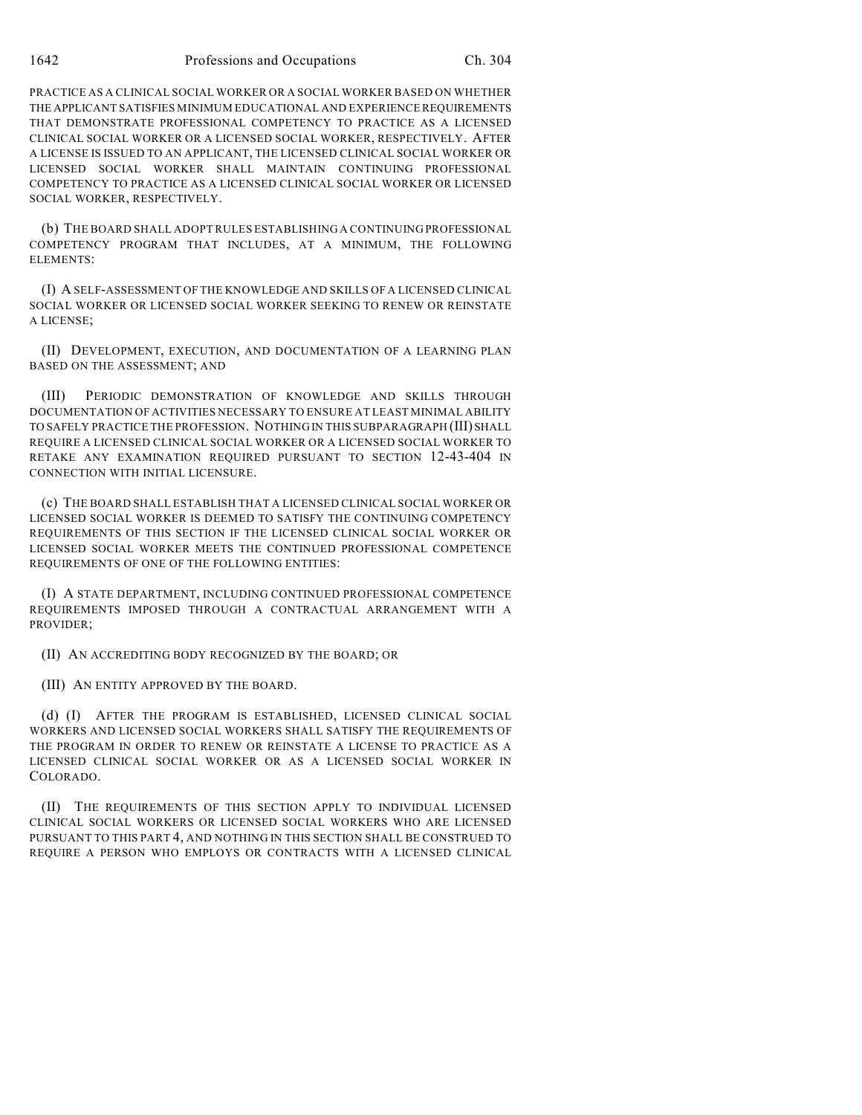PRACTICE AS A CLINICAL SOCIAL WORKER OR A SOCIAL WORKER BASED ON WHETHER THE APPLICANT SATISFIES MINIMUM EDUCATIONAL AND EXPERIENCE REQUIREMENTS THAT DEMONSTRATE PROFESSIONAL COMPETENCY TO PRACTICE AS A LICENSED CLINICAL SOCIAL WORKER OR A LICENSED SOCIAL WORKER, RESPECTIVELY. AFTER A LICENSE IS ISSUED TO AN APPLICANT, THE LICENSED CLINICAL SOCIAL WORKER OR LICENSED SOCIAL WORKER SHALL MAINTAIN CONTINUING PROFESSIONAL COMPETENCY TO PRACTICE AS A LICENSED CLINICAL SOCIAL WORKER OR LICENSED SOCIAL WORKER, RESPECTIVELY.

(b) THE BOARD SHALL ADOPT RULES ESTABLISHING A CONTINUING PROFESSIONAL COMPETENCY PROGRAM THAT INCLUDES, AT A MINIMUM, THE FOLLOWING ELEMENTS:

(I) A SELF-ASSESSMENT OF THE KNOWLEDGE AND SKILLS OF A LICENSED CLINICAL SOCIAL WORKER OR LICENSED SOCIAL WORKER SEEKING TO RENEW OR REINSTATE A LICENSE;

(II) DEVELOPMENT, EXECUTION, AND DOCUMENTATION OF A LEARNING PLAN BASED ON THE ASSESSMENT; AND

(III) PERIODIC DEMONSTRATION OF KNOWLEDGE AND SKILLS THROUGH DOCUMENTATION OF ACTIVITIES NECESSARY TO ENSURE AT LEAST MINIMAL ABILITY TO SAFELY PRACTICE THE PROFESSION. NOTHING IN THIS SUBPARAGRAPH (III) SHALL REQUIRE A LICENSED CLINICAL SOCIAL WORKER OR A LICENSED SOCIAL WORKER TO RETAKE ANY EXAMINATION REQUIRED PURSUANT TO SECTION 12-43-404 IN CONNECTION WITH INITIAL LICENSURE.

(c) THE BOARD SHALL ESTABLISH THAT A LICENSED CLINICAL SOCIAL WORKER OR LICENSED SOCIAL WORKER IS DEEMED TO SATISFY THE CONTINUING COMPETENCY REQUIREMENTS OF THIS SECTION IF THE LICENSED CLINICAL SOCIAL WORKER OR LICENSED SOCIAL WORKER MEETS THE CONTINUED PROFESSIONAL COMPETENCE REQUIREMENTS OF ONE OF THE FOLLOWING ENTITIES:

(I) A STATE DEPARTMENT, INCLUDING CONTINUED PROFESSIONAL COMPETENCE REQUIREMENTS IMPOSED THROUGH A CONTRACTUAL ARRANGEMENT WITH A PROVIDER;

(II) AN ACCREDITING BODY RECOGNIZED BY THE BOARD; OR

(III) AN ENTITY APPROVED BY THE BOARD.

(d) (I) AFTER THE PROGRAM IS ESTABLISHED, LICENSED CLINICAL SOCIAL WORKERS AND LICENSED SOCIAL WORKERS SHALL SATISFY THE REQUIREMENTS OF THE PROGRAM IN ORDER TO RENEW OR REINSTATE A LICENSE TO PRACTICE AS A LICENSED CLINICAL SOCIAL WORKER OR AS A LICENSED SOCIAL WORKER IN COLORADO.

(II) THE REQUIREMENTS OF THIS SECTION APPLY TO INDIVIDUAL LICENSED CLINICAL SOCIAL WORKERS OR LICENSED SOCIAL WORKERS WHO ARE LICENSED PURSUANT TO THIS PART 4, AND NOTHING IN THIS SECTION SHALL BE CONSTRUED TO REQUIRE A PERSON WHO EMPLOYS OR CONTRACTS WITH A LICENSED CLINICAL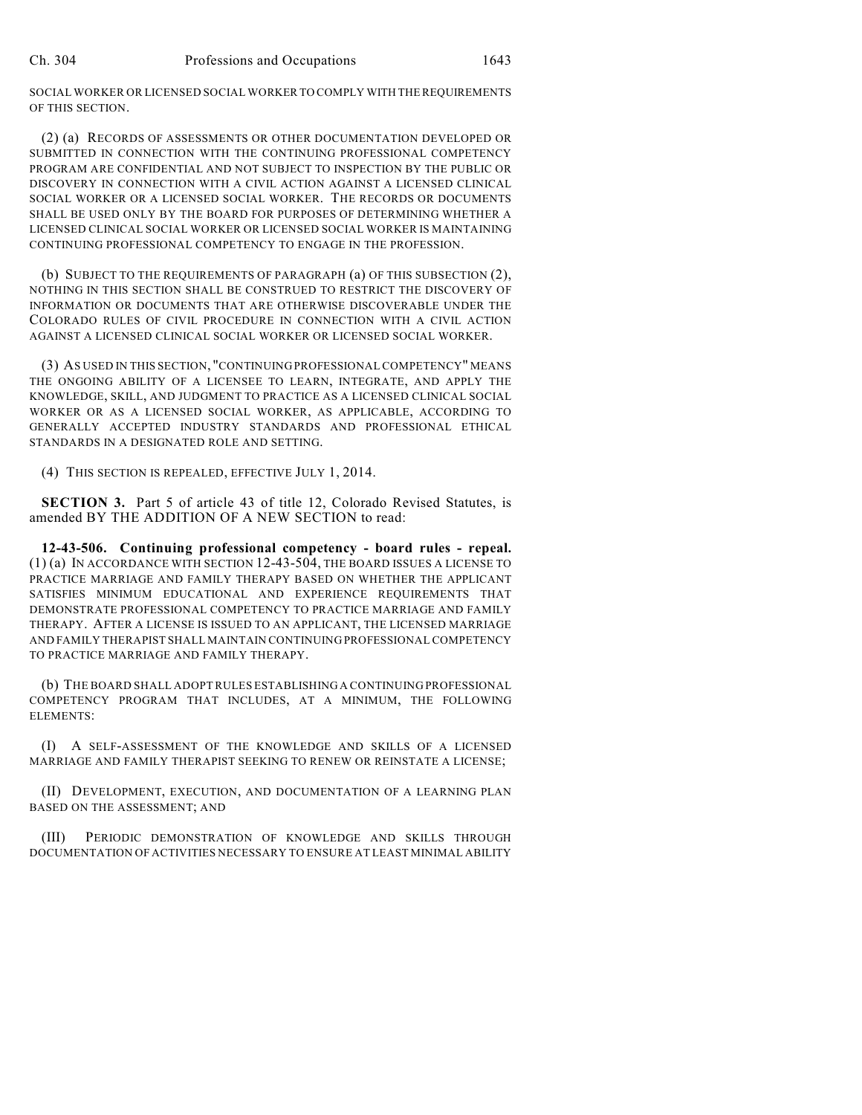SOCIAL WORKER OR LICENSED SOCIAL WORKER TO COMPLY WITH THE REQUIREMENTS OF THIS SECTION.

(2) (a) RECORDS OF ASSESSMENTS OR OTHER DOCUMENTATION DEVELOPED OR SUBMITTED IN CONNECTION WITH THE CONTINUING PROFESSIONAL COMPETENCY PROGRAM ARE CONFIDENTIAL AND NOT SUBJECT TO INSPECTION BY THE PUBLIC OR DISCOVERY IN CONNECTION WITH A CIVIL ACTION AGAINST A LICENSED CLINICAL SOCIAL WORKER OR A LICENSED SOCIAL WORKER. THE RECORDS OR DOCUMENTS SHALL BE USED ONLY BY THE BOARD FOR PURPOSES OF DETERMINING WHETHER A LICENSED CLINICAL SOCIAL WORKER OR LICENSED SOCIAL WORKER IS MAINTAINING CONTINUING PROFESSIONAL COMPETENCY TO ENGAGE IN THE PROFESSION.

(b) SUBJECT TO THE REQUIREMENTS OF PARAGRAPH (a) OF THIS SUBSECTION (2), NOTHING IN THIS SECTION SHALL BE CONSTRUED TO RESTRICT THE DISCOVERY OF INFORMATION OR DOCUMENTS THAT ARE OTHERWISE DISCOVERABLE UNDER THE COLORADO RULES OF CIVIL PROCEDURE IN CONNECTION WITH A CIVIL ACTION AGAINST A LICENSED CLINICAL SOCIAL WORKER OR LICENSED SOCIAL WORKER.

(3) AS USED IN THIS SECTION, "CONTINUING PROFESSIONAL COMPETENCY" MEANS THE ONGOING ABILITY OF A LICENSEE TO LEARN, INTEGRATE, AND APPLY THE KNOWLEDGE, SKILL, AND JUDGMENT TO PRACTICE AS A LICENSED CLINICAL SOCIAL WORKER OR AS A LICENSED SOCIAL WORKER, AS APPLICABLE, ACCORDING TO GENERALLY ACCEPTED INDUSTRY STANDARDS AND PROFESSIONAL ETHICAL STANDARDS IN A DESIGNATED ROLE AND SETTING.

(4) THIS SECTION IS REPEALED, EFFECTIVE JULY 1, 2014.

**SECTION 3.** Part 5 of article 43 of title 12, Colorado Revised Statutes, is amended BY THE ADDITION OF A NEW SECTION to read:

**12-43-506. Continuing professional competency - board rules - repeal.** (1) (a) IN ACCORDANCE WITH SECTION 12-43-504, THE BOARD ISSUES A LICENSE TO PRACTICE MARRIAGE AND FAMILY THERAPY BASED ON WHETHER THE APPLICANT SATISFIES MINIMUM EDUCATIONAL AND EXPERIENCE REQUIREMENTS THAT DEMONSTRATE PROFESSIONAL COMPETENCY TO PRACTICE MARRIAGE AND FAMILY THERAPY. AFTER A LICENSE IS ISSUED TO AN APPLICANT, THE LICENSED MARRIAGE AND FAMILY THERAPIST SHALL MAINTAIN CONTINUING PROFESSIONAL COMPETENCY TO PRACTICE MARRIAGE AND FAMILY THERAPY.

(b) THE BOARD SHALL ADOPT RULES ESTABLISHING A CONTINUING PROFESSIONAL COMPETENCY PROGRAM THAT INCLUDES, AT A MINIMUM, THE FOLLOWING ELEMENTS:

(I) A SELF-ASSESSMENT OF THE KNOWLEDGE AND SKILLS OF A LICENSED MARRIAGE AND FAMILY THERAPIST SEEKING TO RENEW OR REINSTATE A LICENSE;

(II) DEVELOPMENT, EXECUTION, AND DOCUMENTATION OF A LEARNING PLAN BASED ON THE ASSESSMENT; AND

(III) PERIODIC DEMONSTRATION OF KNOWLEDGE AND SKILLS THROUGH DOCUMENTATION OF ACTIVITIES NECESSARY TO ENSURE AT LEAST MINIMAL ABILITY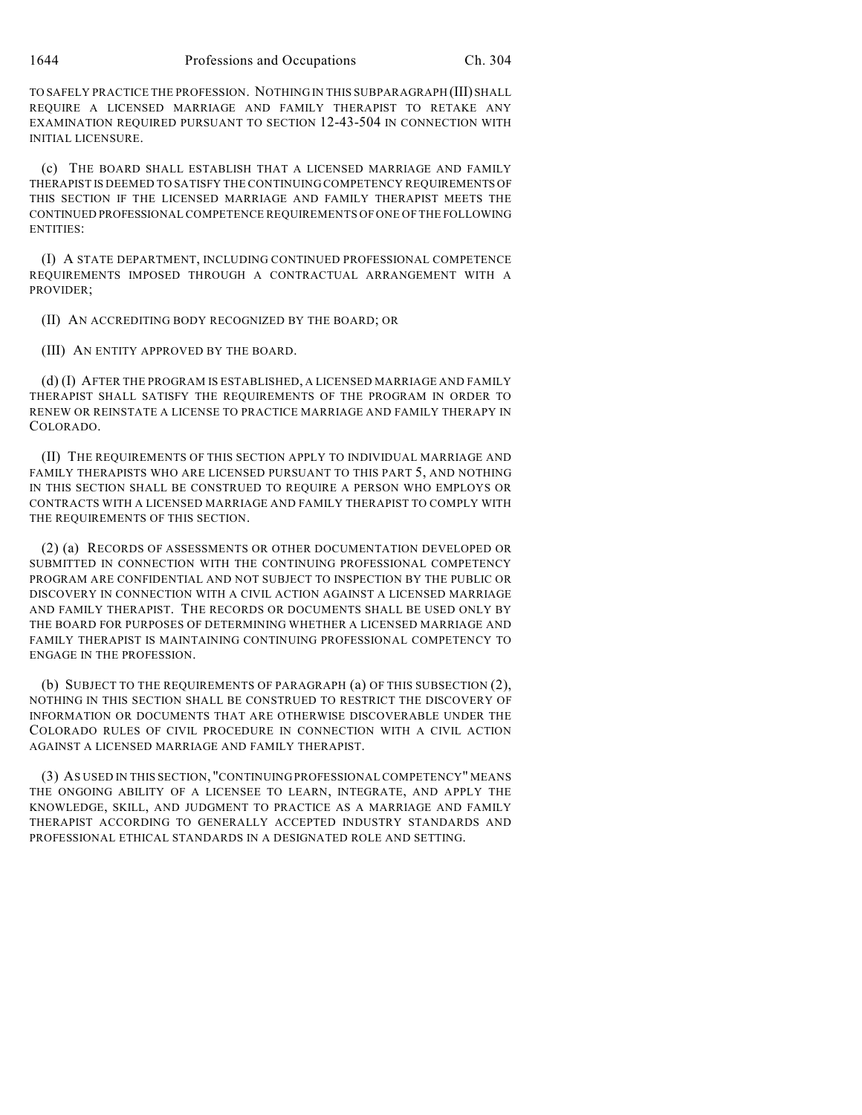TO SAFELY PRACTICE THE PROFESSION. NOTHING IN THIS SUBPARAGRAPH (III) SHALL REQUIRE A LICENSED MARRIAGE AND FAMILY THERAPIST TO RETAKE ANY EXAMINATION REQUIRED PURSUANT TO SECTION 12-43-504 IN CONNECTION WITH INITIAL LICENSURE.

(c) THE BOARD SHALL ESTABLISH THAT A LICENSED MARRIAGE AND FAMILY THERAPIST IS DEEMED TO SATISFY THE CONTINUING COMPETENCY REQUIREMENTS OF THIS SECTION IF THE LICENSED MARRIAGE AND FAMILY THERAPIST MEETS THE CONTINUED PROFESSIONAL COMPETENCE REQUIREMENTS OF ONE OF THE FOLLOWING ENTITIES:

(I) A STATE DEPARTMENT, INCLUDING CONTINUED PROFESSIONAL COMPETENCE REQUIREMENTS IMPOSED THROUGH A CONTRACTUAL ARRANGEMENT WITH A PROVIDER;

(II) AN ACCREDITING BODY RECOGNIZED BY THE BOARD; OR

(III) AN ENTITY APPROVED BY THE BOARD.

(d) (I) AFTER THE PROGRAM IS ESTABLISHED, A LICENSED MARRIAGE AND FAMILY THERAPIST SHALL SATISFY THE REQUIREMENTS OF THE PROGRAM IN ORDER TO RENEW OR REINSTATE A LICENSE TO PRACTICE MARRIAGE AND FAMILY THERAPY IN COLORADO.

(II) THE REQUIREMENTS OF THIS SECTION APPLY TO INDIVIDUAL MARRIAGE AND FAMILY THERAPISTS WHO ARE LICENSED PURSUANT TO THIS PART 5, AND NOTHING IN THIS SECTION SHALL BE CONSTRUED TO REQUIRE A PERSON WHO EMPLOYS OR CONTRACTS WITH A LICENSED MARRIAGE AND FAMILY THERAPIST TO COMPLY WITH THE REQUIREMENTS OF THIS SECTION.

(2) (a) RECORDS OF ASSESSMENTS OR OTHER DOCUMENTATION DEVELOPED OR SUBMITTED IN CONNECTION WITH THE CONTINUING PROFESSIONAL COMPETENCY PROGRAM ARE CONFIDENTIAL AND NOT SUBJECT TO INSPECTION BY THE PUBLIC OR DISCOVERY IN CONNECTION WITH A CIVIL ACTION AGAINST A LICENSED MARRIAGE AND FAMILY THERAPIST. THE RECORDS OR DOCUMENTS SHALL BE USED ONLY BY THE BOARD FOR PURPOSES OF DETERMINING WHETHER A LICENSED MARRIAGE AND FAMILY THERAPIST IS MAINTAINING CONTINUING PROFESSIONAL COMPETENCY TO ENGAGE IN THE PROFESSION.

(b) SUBJECT TO THE REQUIREMENTS OF PARAGRAPH (a) OF THIS SUBSECTION (2), NOTHING IN THIS SECTION SHALL BE CONSTRUED TO RESTRICT THE DISCOVERY OF INFORMATION OR DOCUMENTS THAT ARE OTHERWISE DISCOVERABLE UNDER THE COLORADO RULES OF CIVIL PROCEDURE IN CONNECTION WITH A CIVIL ACTION AGAINST A LICENSED MARRIAGE AND FAMILY THERAPIST.

(3) AS USED IN THIS SECTION, "CONTINUING PROFESSIONAL COMPETENCY" MEANS THE ONGOING ABILITY OF A LICENSEE TO LEARN, INTEGRATE, AND APPLY THE KNOWLEDGE, SKILL, AND JUDGMENT TO PRACTICE AS A MARRIAGE AND FAMILY THERAPIST ACCORDING TO GENERALLY ACCEPTED INDUSTRY STANDARDS AND PROFESSIONAL ETHICAL STANDARDS IN A DESIGNATED ROLE AND SETTING.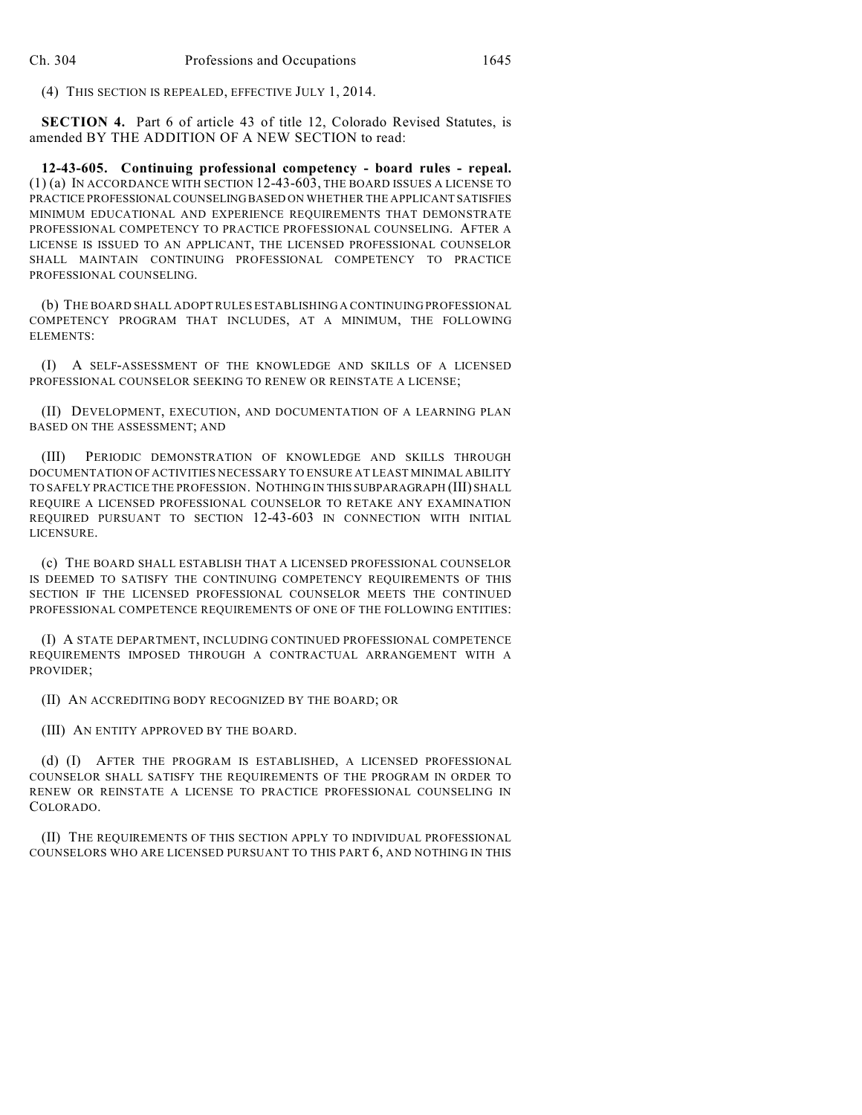(4) THIS SECTION IS REPEALED, EFFECTIVE JULY 1, 2014.

**SECTION 4.** Part 6 of article 43 of title 12, Colorado Revised Statutes, is amended BY THE ADDITION OF A NEW SECTION to read:

**12-43-605. Continuing professional competency - board rules - repeal.** (1) (a) IN ACCORDANCE WITH SECTION 12-43-603, THE BOARD ISSUES A LICENSE TO PRACTICE PROFESSIONAL COUNSELING BASED ON WHETHER THE APPLICANT SATISFIES MINIMUM EDUCATIONAL AND EXPERIENCE REQUIREMENTS THAT DEMONSTRATE PROFESSIONAL COMPETENCY TO PRACTICE PROFESSIONAL COUNSELING. AFTER A LICENSE IS ISSUED TO AN APPLICANT, THE LICENSED PROFESSIONAL COUNSELOR SHALL MAINTAIN CONTINUING PROFESSIONAL COMPETENCY TO PRACTICE PROFESSIONAL COUNSELING.

(b) THE BOARD SHALL ADOPT RULES ESTABLISHING A CONTINUING PROFESSIONAL COMPETENCY PROGRAM THAT INCLUDES, AT A MINIMUM, THE FOLLOWING ELEMENTS:

(I) A SELF-ASSESSMENT OF THE KNOWLEDGE AND SKILLS OF A LICENSED PROFESSIONAL COUNSELOR SEEKING TO RENEW OR REINSTATE A LICENSE;

(II) DEVELOPMENT, EXECUTION, AND DOCUMENTATION OF A LEARNING PLAN BASED ON THE ASSESSMENT; AND

(III) PERIODIC DEMONSTRATION OF KNOWLEDGE AND SKILLS THROUGH DOCUMENTATION OF ACTIVITIES NECESSARY TO ENSURE AT LEAST MINIMAL ABILITY TO SAFELY PRACTICE THE PROFESSION. NOTHING IN THIS SUBPARAGRAPH (III) SHALL REQUIRE A LICENSED PROFESSIONAL COUNSELOR TO RETAKE ANY EXAMINATION REQUIRED PURSUANT TO SECTION 12-43-603 IN CONNECTION WITH INITIAL LICENSURE.

(c) THE BOARD SHALL ESTABLISH THAT A LICENSED PROFESSIONAL COUNSELOR IS DEEMED TO SATISFY THE CONTINUING COMPETENCY REQUIREMENTS OF THIS SECTION IF THE LICENSED PROFESSIONAL COUNSELOR MEETS THE CONTINUED PROFESSIONAL COMPETENCE REQUIREMENTS OF ONE OF THE FOLLOWING ENTITIES:

(I) A STATE DEPARTMENT, INCLUDING CONTINUED PROFESSIONAL COMPETENCE REQUIREMENTS IMPOSED THROUGH A CONTRACTUAL ARRANGEMENT WITH A PROVIDER;

(II) AN ACCREDITING BODY RECOGNIZED BY THE BOARD; OR

(III) AN ENTITY APPROVED BY THE BOARD.

(d) (I) AFTER THE PROGRAM IS ESTABLISHED, A LICENSED PROFESSIONAL COUNSELOR SHALL SATISFY THE REQUIREMENTS OF THE PROGRAM IN ORDER TO RENEW OR REINSTATE A LICENSE TO PRACTICE PROFESSIONAL COUNSELING IN COLORADO.

(II) THE REQUIREMENTS OF THIS SECTION APPLY TO INDIVIDUAL PROFESSIONAL COUNSELORS WHO ARE LICENSED PURSUANT TO THIS PART 6, AND NOTHING IN THIS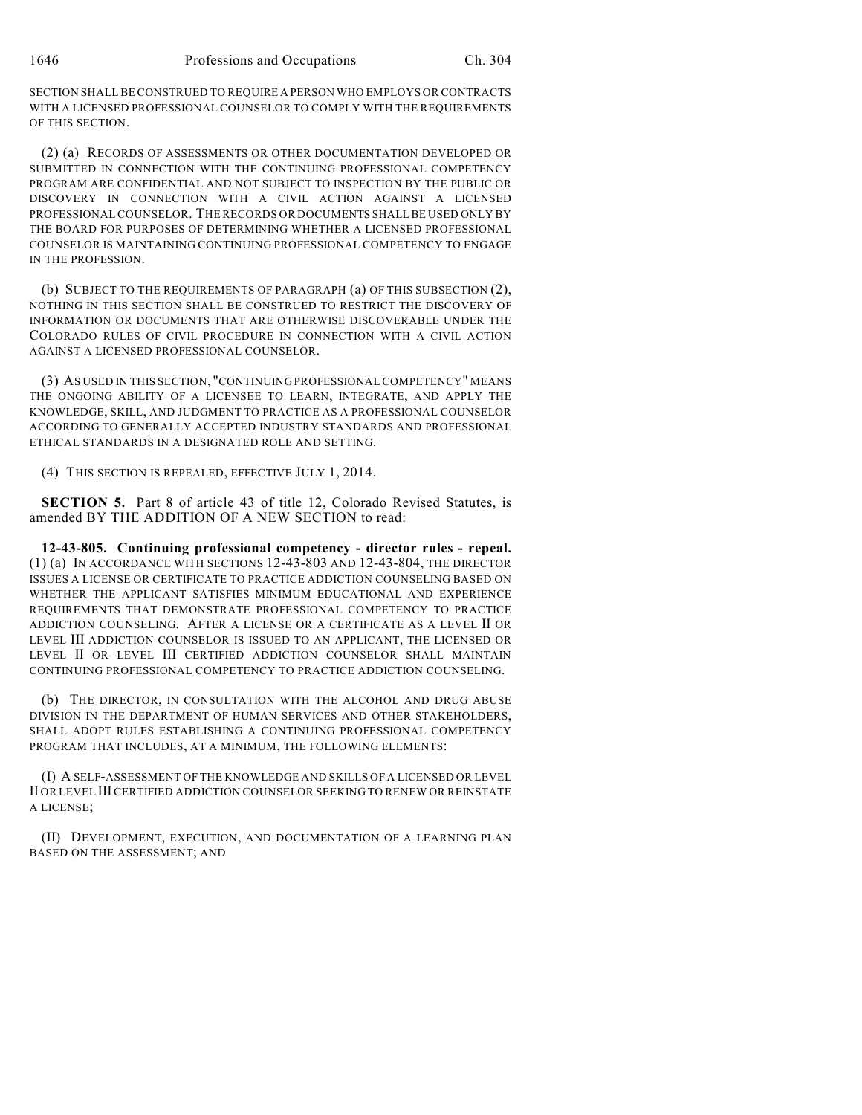SECTION SHALL BE CONSTRUED TO REQUIRE A PERSON WHO EMPLOYS OR CONTRACTS WITH A LICENSED PROFESSIONAL COUNSELOR TO COMPLY WITH THE REQUIREMENTS OF THIS SECTION.

(2) (a) RECORDS OF ASSESSMENTS OR OTHER DOCUMENTATION DEVELOPED OR SUBMITTED IN CONNECTION WITH THE CONTINUING PROFESSIONAL COMPETENCY PROGRAM ARE CONFIDENTIAL AND NOT SUBJECT TO INSPECTION BY THE PUBLIC OR DISCOVERY IN CONNECTION WITH A CIVIL ACTION AGAINST A LICENSED PROFESSIONAL COUNSELOR. THE RECORDS OR DOCUMENTS SHALL BE USED ONLY BY THE BOARD FOR PURPOSES OF DETERMINING WHETHER A LICENSED PROFESSIONAL COUNSELOR IS MAINTAINING CONTINUING PROFESSIONAL COMPETENCY TO ENGAGE IN THE PROFESSION.

(b) SUBJECT TO THE REQUIREMENTS OF PARAGRAPH (a) OF THIS SUBSECTION (2), NOTHING IN THIS SECTION SHALL BE CONSTRUED TO RESTRICT THE DISCOVERY OF INFORMATION OR DOCUMENTS THAT ARE OTHERWISE DISCOVERABLE UNDER THE COLORADO RULES OF CIVIL PROCEDURE IN CONNECTION WITH A CIVIL ACTION AGAINST A LICENSED PROFESSIONAL COUNSELOR.

(3) AS USED IN THIS SECTION, "CONTINUING PROFESSIONAL COMPETENCY" MEANS THE ONGOING ABILITY OF A LICENSEE TO LEARN, INTEGRATE, AND APPLY THE KNOWLEDGE, SKILL, AND JUDGMENT TO PRACTICE AS A PROFESSIONAL COUNSELOR ACCORDING TO GENERALLY ACCEPTED INDUSTRY STANDARDS AND PROFESSIONAL ETHICAL STANDARDS IN A DESIGNATED ROLE AND SETTING.

(4) THIS SECTION IS REPEALED, EFFECTIVE JULY 1, 2014.

**SECTION 5.** Part 8 of article 43 of title 12, Colorado Revised Statutes, is amended BY THE ADDITION OF A NEW SECTION to read:

**12-43-805. Continuing professional competency - director rules - repeal.** (1) (a) IN ACCORDANCE WITH SECTIONS 12-43-803 AND 12-43-804, THE DIRECTOR ISSUES A LICENSE OR CERTIFICATE TO PRACTICE ADDICTION COUNSELING BASED ON WHETHER THE APPLICANT SATISFIES MINIMUM EDUCATIONAL AND EXPERIENCE REQUIREMENTS THAT DEMONSTRATE PROFESSIONAL COMPETENCY TO PRACTICE ADDICTION COUNSELING. AFTER A LICENSE OR A CERTIFICATE AS A LEVEL II OR LEVEL III ADDICTION COUNSELOR IS ISSUED TO AN APPLICANT, THE LICENSED OR LEVEL II OR LEVEL III CERTIFIED ADDICTION COUNSELOR SHALL MAINTAIN CONTINUING PROFESSIONAL COMPETENCY TO PRACTICE ADDICTION COUNSELING.

(b) THE DIRECTOR, IN CONSULTATION WITH THE ALCOHOL AND DRUG ABUSE DIVISION IN THE DEPARTMENT OF HUMAN SERVICES AND OTHER STAKEHOLDERS, SHALL ADOPT RULES ESTABLISHING A CONTINUING PROFESSIONAL COMPETENCY PROGRAM THAT INCLUDES, AT A MINIMUM, THE FOLLOWING ELEMENTS:

(I) A SELF-ASSESSMENT OF THE KNOWLEDGE AND SKILLS OF A LICENSED OR LEVEL II OR LEVEL IIICERTIFIED ADDICTION COUNSELOR SEEKING TO RENEW OR REINSTATE A LICENSE;

(II) DEVELOPMENT, EXECUTION, AND DOCUMENTATION OF A LEARNING PLAN BASED ON THE ASSESSMENT; AND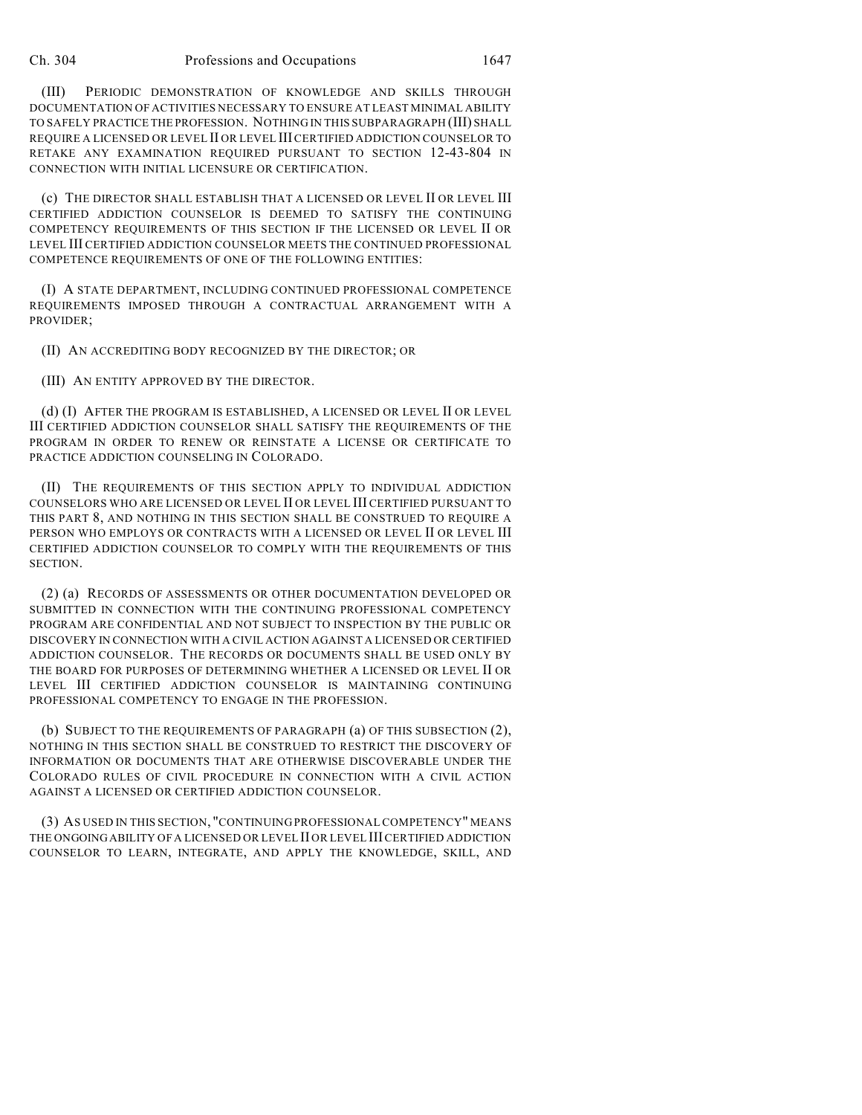(III) PERIODIC DEMONSTRATION OF KNOWLEDGE AND SKILLS THROUGH DOCUMENTATION OF ACTIVITIES NECESSARY TO ENSURE AT LEAST MINIMAL ABILITY TO SAFELY PRACTICE THE PROFESSION. NOTHING IN THIS SUBPARAGRAPH (III) SHALL REQUIRE A LICENSED OR LEVEL II OR LEVEL IIICERTIFIED ADDICTION COUNSELOR TO RETAKE ANY EXAMINATION REQUIRED PURSUANT TO SECTION 12-43-804 IN CONNECTION WITH INITIAL LICENSURE OR CERTIFICATION.

(c) THE DIRECTOR SHALL ESTABLISH THAT A LICENSED OR LEVEL II OR LEVEL III CERTIFIED ADDICTION COUNSELOR IS DEEMED TO SATISFY THE CONTINUING COMPETENCY REQUIREMENTS OF THIS SECTION IF THE LICENSED OR LEVEL II OR LEVEL III CERTIFIED ADDICTION COUNSELOR MEETS THE CONTINUED PROFESSIONAL COMPETENCE REQUIREMENTS OF ONE OF THE FOLLOWING ENTITIES:

(I) A STATE DEPARTMENT, INCLUDING CONTINUED PROFESSIONAL COMPETENCE REQUIREMENTS IMPOSED THROUGH A CONTRACTUAL ARRANGEMENT WITH A PROVIDER;

(II) AN ACCREDITING BODY RECOGNIZED BY THE DIRECTOR; OR

(III) AN ENTITY APPROVED BY THE DIRECTOR.

(d) (I) AFTER THE PROGRAM IS ESTABLISHED, A LICENSED OR LEVEL II OR LEVEL III CERTIFIED ADDICTION COUNSELOR SHALL SATISFY THE REQUIREMENTS OF THE PROGRAM IN ORDER TO RENEW OR REINSTATE A LICENSE OR CERTIFICATE TO PRACTICE ADDICTION COUNSELING IN COLORADO.

(II) THE REQUIREMENTS OF THIS SECTION APPLY TO INDIVIDUAL ADDICTION COUNSELORS WHO ARE LICENSED OR LEVEL II OR LEVEL III CERTIFIED PURSUANT TO THIS PART 8, AND NOTHING IN THIS SECTION SHALL BE CONSTRUED TO REQUIRE A PERSON WHO EMPLOYS OR CONTRACTS WITH A LICENSED OR LEVEL II OR LEVEL III CERTIFIED ADDICTION COUNSELOR TO COMPLY WITH THE REQUIREMENTS OF THIS SECTION.

(2) (a) RECORDS OF ASSESSMENTS OR OTHER DOCUMENTATION DEVELOPED OR SUBMITTED IN CONNECTION WITH THE CONTINUING PROFESSIONAL COMPETENCY PROGRAM ARE CONFIDENTIAL AND NOT SUBJECT TO INSPECTION BY THE PUBLIC OR DISCOVERY IN CONNECTION WITH A CIVIL ACTION AGAINST A LICENSED OR CERTIFIED ADDICTION COUNSELOR. THE RECORDS OR DOCUMENTS SHALL BE USED ONLY BY THE BOARD FOR PURPOSES OF DETERMINING WHETHER A LICENSED OR LEVEL II OR LEVEL III CERTIFIED ADDICTION COUNSELOR IS MAINTAINING CONTINUING PROFESSIONAL COMPETENCY TO ENGAGE IN THE PROFESSION.

(b) SUBJECT TO THE REQUIREMENTS OF PARAGRAPH (a) OF THIS SUBSECTION (2), NOTHING IN THIS SECTION SHALL BE CONSTRUED TO RESTRICT THE DISCOVERY OF INFORMATION OR DOCUMENTS THAT ARE OTHERWISE DISCOVERABLE UNDER THE COLORADO RULES OF CIVIL PROCEDURE IN CONNECTION WITH A CIVIL ACTION AGAINST A LICENSED OR CERTIFIED ADDICTION COUNSELOR.

(3) AS USED IN THIS SECTION, "CONTINUING PROFESSIONAL COMPETENCY" MEANS THE ONGOING ABILITY OF A LICENSED OR LEVEL II OR LEVEL III CERTIFIED ADDICTION COUNSELOR TO LEARN, INTEGRATE, AND APPLY THE KNOWLEDGE, SKILL, AND